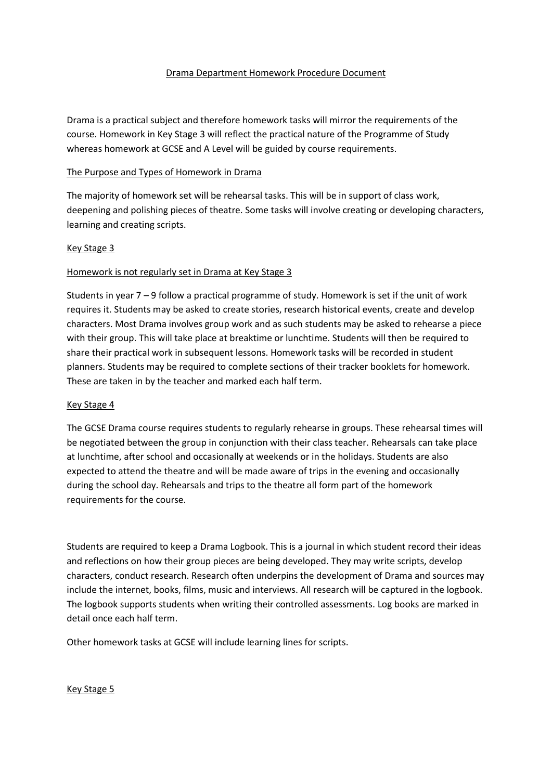### Drama Department Homework Procedure Document

Drama is a practical subject and therefore homework tasks will mirror the requirements of the course. Homework in Key Stage 3 will reflect the practical nature of the Programme of Study whereas homework at GCSE and A Level will be guided by course requirements.

# The Purpose and Types of Homework in Drama

The majority of homework set will be rehearsal tasks. This will be in support of class work, deepening and polishing pieces of theatre. Some tasks will involve creating or developing characters, learning and creating scripts.

### Key Stage 3

### Homework is not regularly set in Drama at Key Stage 3

Students in year 7 – 9 follow a practical programme of study. Homework is set if the unit of work requires it. Students may be asked to create stories, research historical events, create and develop characters. Most Drama involves group work and as such students may be asked to rehearse a piece with their group. This will take place at breaktime or lunchtime. Students will then be required to share their practical work in subsequent lessons. Homework tasks will be recorded in student planners. Students may be required to complete sections of their tracker booklets for homework. These are taken in by the teacher and marked each half term.

#### Key Stage 4

The GCSE Drama course requires students to regularly rehearse in groups. These rehearsal times will be negotiated between the group in conjunction with their class teacher. Rehearsals can take place at lunchtime, after school and occasionally at weekends or in the holidays. Students are also expected to attend the theatre and will be made aware of trips in the evening and occasionally during the school day. Rehearsals and trips to the theatre all form part of the homework requirements for the course.

Students are required to keep a Drama Logbook. This is a journal in which student record their ideas and reflections on how their group pieces are being developed. They may write scripts, develop characters, conduct research. Research often underpins the development of Drama and sources may include the internet, books, films, music and interviews. All research will be captured in the logbook. The logbook supports students when writing their controlled assessments. Log books are marked in detail once each half term.

Other homework tasks at GCSE will include learning lines for scripts.

#### Key Stage 5